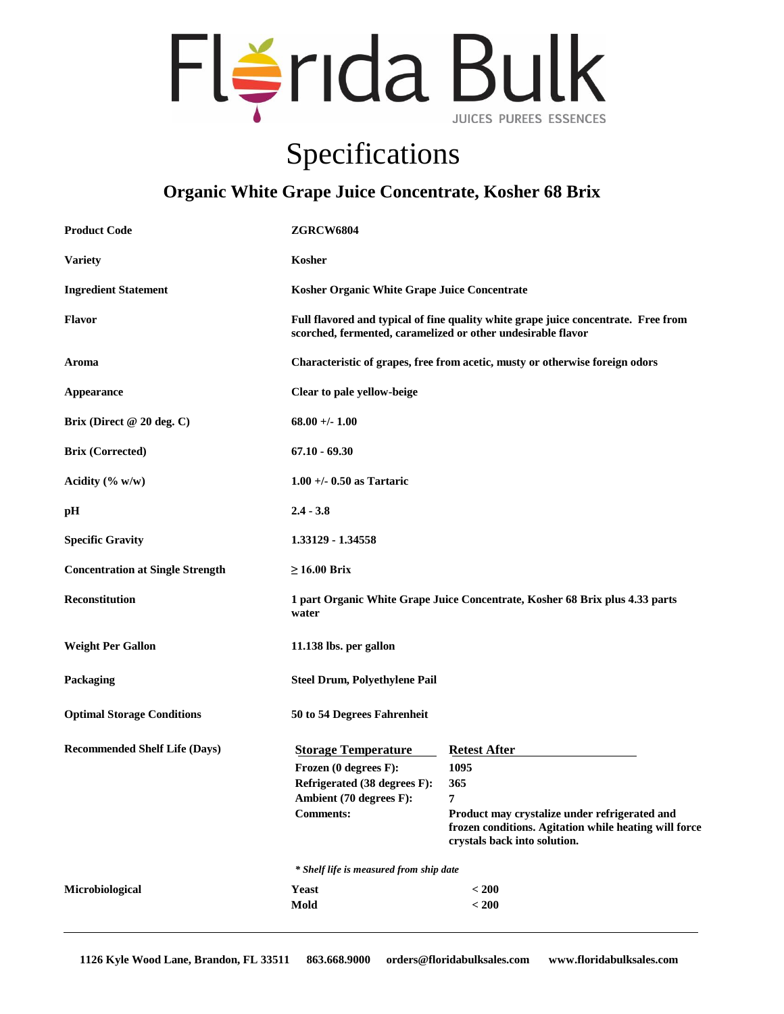

## Specifications

## **Organic White Grape Juice Concentrate, Kosher 68 Brix**

| <b>Product Code</b>                     | <b>ZGRCW6804</b>                                                                                                                                   |                                                                                                                                                                                   |  |
|-----------------------------------------|----------------------------------------------------------------------------------------------------------------------------------------------------|-----------------------------------------------------------------------------------------------------------------------------------------------------------------------------------|--|
| <b>Variety</b>                          | Kosher                                                                                                                                             |                                                                                                                                                                                   |  |
| <b>Ingredient Statement</b>             | Kosher Organic White Grape Juice Concentrate                                                                                                       |                                                                                                                                                                                   |  |
| Flavor                                  | Full flavored and typical of fine quality white grape juice concentrate. Free from<br>scorched, fermented, caramelized or other undesirable flavor |                                                                                                                                                                                   |  |
| Aroma                                   | Characteristic of grapes, free from acetic, musty or otherwise foreign odors                                                                       |                                                                                                                                                                                   |  |
| Appearance                              | Clear to pale yellow-beige                                                                                                                         |                                                                                                                                                                                   |  |
| Brix (Direct $@20$ deg. C)              | $68.00 + - 1.00$                                                                                                                                   |                                                                                                                                                                                   |  |
| <b>Brix (Corrected)</b>                 | $67.10 - 69.30$                                                                                                                                    |                                                                                                                                                                                   |  |
| Acidity $(\% w/w)$                      | $1.00 +/- 0.50$ as Tartaric                                                                                                                        |                                                                                                                                                                                   |  |
| pН                                      | $2.4 - 3.8$                                                                                                                                        |                                                                                                                                                                                   |  |
| <b>Specific Gravity</b>                 | 1.33129 - 1.34558                                                                                                                                  |                                                                                                                                                                                   |  |
| <b>Concentration at Single Strength</b> | $\geq 16.00$ Brix                                                                                                                                  |                                                                                                                                                                                   |  |
| <b>Reconstitution</b>                   | 1 part Organic White Grape Juice Concentrate, Kosher 68 Brix plus 4.33 parts<br>water                                                              |                                                                                                                                                                                   |  |
| <b>Weight Per Gallon</b>                | 11.138 lbs. per gallon                                                                                                                             |                                                                                                                                                                                   |  |
| Packaging                               | <b>Steel Drum, Polyethylene Pail</b>                                                                                                               |                                                                                                                                                                                   |  |
| <b>Optimal Storage Conditions</b>       | 50 to 54 Degrees Fahrenheit                                                                                                                        |                                                                                                                                                                                   |  |
| <b>Recommended Shelf Life (Days)</b>    | <b>Storage Temperature</b><br>Frozen (0 degrees F):<br>Refrigerated (38 degrees F):<br>Ambient (70 degrees F):<br><b>Comments:</b>                 | <b>Retest After</b><br>1095<br>365<br>7<br>Product may crystalize under refrigerated and<br>frozen conditions. Agitation while heating will force<br>crystals back into solution. |  |
|                                         | * Shelf life is measured from ship date                                                                                                            |                                                                                                                                                                                   |  |
| Microbiological                         | <b>Yeast</b><br>Mold                                                                                                                               | < 200<br>< 200                                                                                                                                                                    |  |